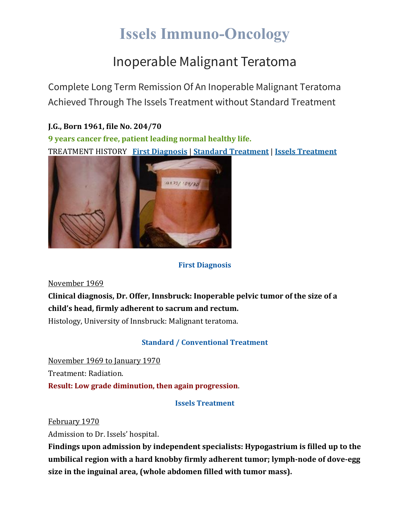# **Issels Immuno-Oncology**

## Inoperable Malignant Teratoma

Complete Long Term Remission Of An Inoperable Malignant Teratoma Achieved Through The Issels Treatment without Standard Treatment

### **J.G., Born 1961, file No. 204/70**

**9 years cancer free, patient leading normal healthy life.** TREATMENT HISTORY **First [Diagnosis](https://issels.com/cancer-cases/teratoma-inoperable-malignant/#First)** | **Standard [Treatment](https://issels.com/cancer-cases/teratoma-inoperable-malignant/#Standard)** | **Issels [Treatment](https://issels.com/cancer-cases/teratoma-inoperable-malignant/#Issels)**



### **First Diagnosis**

November 1969

**Clinical diagnosis, Dr. Offer, Innsbruck: Inoperable pelvic tumor of the size of a child's head, firmly adherent to sacrum and rectum.**

Histology, University of Innsbruck: Malignant teratoma.

### **Standard / Conventional Treatment**

November 1969 to January 1970 Treatment: Radiation. **Result: Low grade diminution, then again progression**.

**Issels Treatment**

February 1970

Admission to Dr. Issels' hospital.

**Findings upon admission by independent specialists: Hypogastrium is filled up to the umbilical region with a hard knobby firmly adherent tumor; lymph-node of dove-egg size in the inguinal area, (whole abdomen filled with tumor mass).**